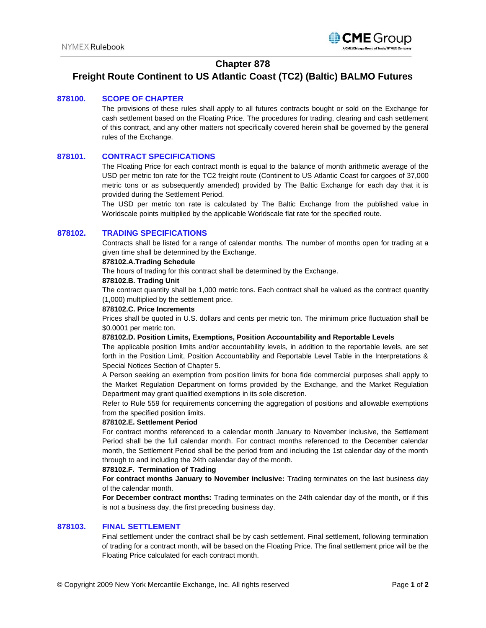

# **Chapter 878**

# **Freight Route Continent to US Atlantic Coast (TC2) (Baltic) BALMO Futures**

## **878100. SCOPE OF CHAPTER**

The provisions of these rules shall apply to all futures contracts bought or sold on the Exchange for cash settlement based on the Floating Price. The procedures for trading, clearing and cash settlement of this contract, and any other matters not specifically covered herein shall be governed by the general rules of the Exchange.

# **878101. CONTRACT SPECIFICATIONS**

The Floating Price for each contract month is equal to the balance of month arithmetic average of the USD per metric ton rate for the TC2 freight route (Continent to US Atlantic Coast for cargoes of 37,000 metric tons or as subsequently amended) provided by The Baltic Exchange for each day that it is provided during the Settlement Period.

The USD per metric ton rate is calculated by The Baltic Exchange from the published value in Worldscale points multiplied by the applicable Worldscale flat rate for the specified route.

### **878102. TRADING SPECIFICATIONS**

Contracts shall be listed for a range of calendar months. The number of months open for trading at a given time shall be determined by the Exchange.

### **878102.A.Trading Schedule**

The hours of trading for this contract shall be determined by the Exchange.

#### **878102.B. Trading Unit**

The contract quantity shall be 1,000 metric tons. Each contract shall be valued as the contract quantity (1,000) multiplied by the settlement price.

#### **878102.C. Price Increments**

Prices shall be quoted in U.S. dollars and cents per metric ton. The minimum price fluctuation shall be \$0.0001 per metric ton.

#### **878102.D. Position Limits, Exemptions, Position Accountability and Reportable Levels**

The applicable position limits and/or accountability levels, in addition to the reportable levels, are set forth in the Position Limit, Position Accountability and Reportable Level Table in the Interpretations & Special Notices Section of Chapter 5.

A Person seeking an exemption from position limits for bona fide commercial purposes shall apply to the Market Regulation Department on forms provided by the Exchange, and the Market Regulation Department may grant qualified exemptions in its sole discretion.

Refer to Rule 559 for requirements concerning the aggregation of positions and allowable exemptions from the specified position limits.

#### **878102.E. Settlement Period**

For contract months referenced to a calendar month January to November inclusive, the Settlement Period shall be the full calendar month. For contract months referenced to the December calendar month, the Settlement Period shall be the period from and including the 1st calendar day of the month through to and including the 24th calendar day of the month.

#### **878102.F. Termination of Trading**

**For contract months January to November inclusive:** Trading terminates on the last business day of the calendar month.

**For December contract months:** Trading terminates on the 24th calendar day of the month, or if this is not a business day, the first preceding business day.

### **878103. FINAL SETTLEMENT**

Final settlement under the contract shall be by cash settlement. Final settlement, following termination of trading for a contract month, will be based on the Floating Price. The final settlement price will be the Floating Price calculated for each contract month.